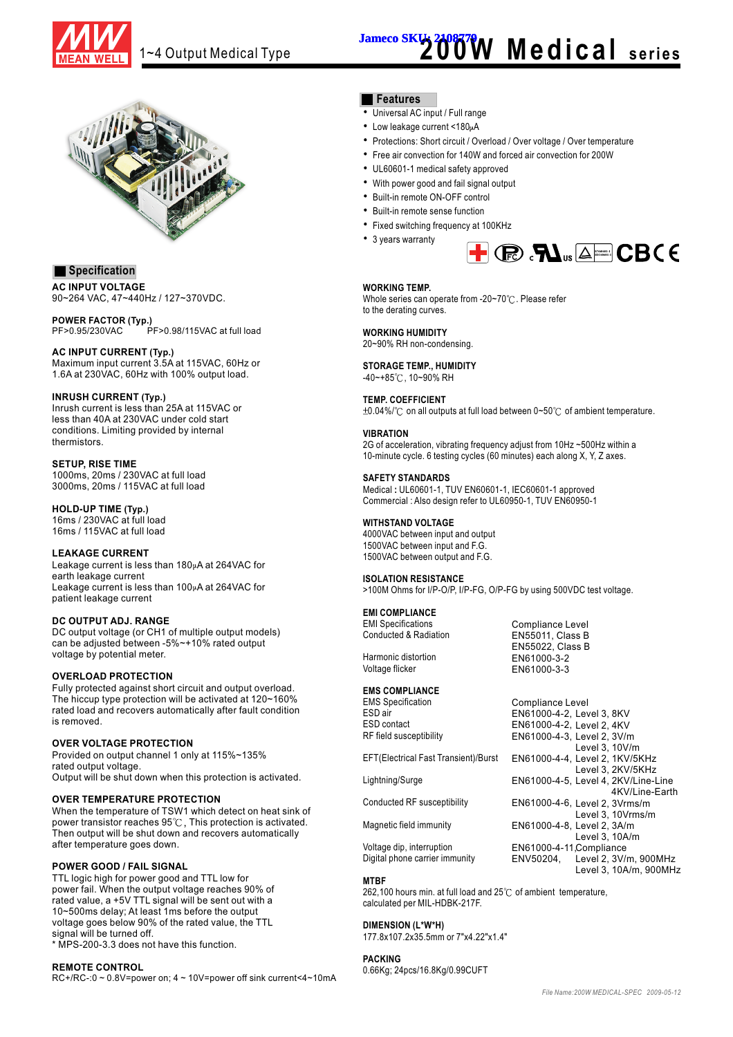

# 1~4 Output Medical Type **200Ex 1208779** Medical series



#### **Specification**

**AC INPUT VOLTAGE** 90~264 VAC, 47~440Hz / 127~370VDC.

**POWER FACTOR (Typ.)** PF>0.95/230VAC PF>0.98/115VAC at full load

#### **AC INPUT CURRENT (Typ.)**

Maximum input current 3.5A at 115VAC, 60Hz or 1.6A at 230VAC, 60Hz with 100% output load.

#### **(Typ.) INRUSH CURRENT**

Inrush current is less than 25A at 115VAC or less than 40A at 230VAC under cold start conditions. Limiting provided by internal thermistors.

#### **SETUP, RISE TIME**

1000ms, 20ms / 230VAC at full load 3000ms, 20ms / 115VAC at full load

**(Typ.) HOLD-UP TIME** 16ms / 230VAC at full load 16ms / 115VAC at full load

#### **LEAKAGE CURRENT**

Leakage current is less than  $180<sub>\mu</sub>A$  at 264VAC for earth leakage current Leakage current is less than  $100\mu$ A at 264VAC for patient leakage current

#### **DC OUTPUT ADJ. RANGE**

DC output voltage (or CH1 of multiple output models) can be adjusted between -5%~+10% rated output voltage by potential meter.

#### **OVERLOAD PROTECTION**

Fully protected against short circuit and output overload. The hiccup type protection will be activated at 120~160% rated load and recovers automatically after fault condition is removed.

#### **OVER VOLTAGE PROTECTION**

Provided on output channel 1 only at 115%~135% rated output voltage. Output will be shut down when this protection is activated.

#### **OVER TEMPERATURE PROTECTION**

When the temperature of TSW1 which detect on heat sink of power transistor reaches  $95^{\circ}$ C, This protection is activated. Then output will be shut down and recovers automatically after temperature goes down.

#### **POWER GOOD / FAIL SIGNAL**

TTL logic high for power good and TTL low for power fail. When the output voltage reaches 90% of rated value, a +5V TTL signal will be sent out with a 10~500ms delay; At least 1ms before the output voltage goes below 90% of the rated value, the TTL signal will be turned off.

\* MPS-200-3.3 does not have this function.

#### **REMOTE CONTROL**

RC+/RC-:0 ~ 0.8V=power on; 4 ~ 10V=power off sink current<4~10mA

#### **Features**

- Universal AC input / Full range
- Low leakage current <180µA
- Protections: Short circuit / Overload / Over voltage / Over temperature
- Free air convection for 140W and forced air convection for 200W
- UL60601-1 medical safety approved
- With power good and fail signal output
- Built-in remote ON-OFF control
- Built-in remote sense function
- Fixed switching frequency at 100KHz
- 3 years warranty

### **EN60601-1 IEC60601-1**

#### **WORKING TEMP.**

Whole series can operate from -20~70°C. Please refer to the derating curves.

#### **WORKING HUMIDITY** 20~90% RH non-condensing.

#### **STORAGE TEMP., HUMIDITY** -40~+85°C, 10~90% RH

#### **TEMP. COEFFICIENT**

 $\pm 0.04\%$  /  $\degree$  on all outputs at full load between 0~50  $\degree$  of ambient temperature.

#### **VIBRATION**

2G of acceleration, vibrating frequency adjust from 10Hz ~500Hz within a 10-minute cycle. 6 testing cycles (60 minutes) each along X, Y, Z axes.

#### **SAFETY STANDARDS**

Medical: UL60601-1, TUV EN60601-1, IEC60601-1 approved Commercial : Also design refer to UL60950-1, TUV EN60950-1

#### **WITHSTAND VOLTAGE**

4000VAC between input and output 1500VAC between input and F.G. 1500VAC between output and F.G.

#### **ISOLATION RESISTANCE**

>100M Ohms for I/P-O/P, I/P-FG, O/P-FG by using 500VDC test voltage.

#### **EMI COMPLIANCE**

EMI Specifications Conducted & Radiation

Harmonic distortion Voltage flicker

#### **EMS COMPLIANCE**

EMS Specification ESD air ESD contact RF field susceptibility

EFT(Electrical Fast Transient)/Burst

Lightning/Surge

Conducted RF susceptibility

Magnetic field immunity

Voltage dip, interruption Digital phone carrier immunity

#### **MTBF**

262,100 hours min. at full load and  $25^{\circ}$  of ambient temperature, calculated per MIL-HDBK-217F.

#### **DIMENSION (L\*W\*H)**

177.8x107.2x35.5mm or 7"x4.22"x1.4"

#### **PACKING**

0.66Kg; 24pcs/16.8Kg/0.99CUFT

Level 2, 3V/m, 900MHz Level 3, 10A/m, 900MHz



EN61000-4-11, Compliance

ENV50204,

EN55022, Class B EN61000-3-2 EN61000-3-3

Compliance Level EN55011, Class B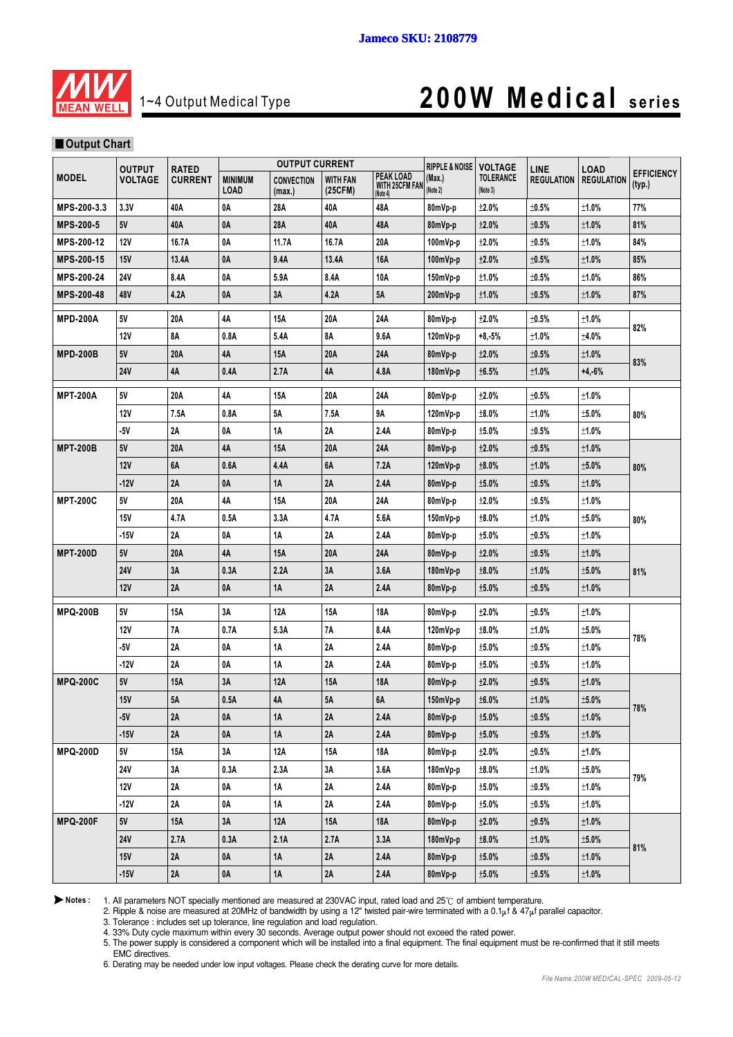

### 1~4 Output Medical Type **200W Medical series**

#### **Output Chart**

|                   | <b>OUTPUT CURRENT</b><br><b>OUTPUT</b><br><b>RATED</b> |                | <b>RIPPLE &amp; NOISE</b>     | <b>VOLTAGE</b>              | LINE                       | <b>LOAD</b>                                    |                    |                              |                   |                   |                             |
|-------------------|--------------------------------------------------------|----------------|-------------------------------|-----------------------------|----------------------------|------------------------------------------------|--------------------|------------------------------|-------------------|-------------------|-----------------------------|
| <b>MODEL</b>      | <b>VOLTAGE</b>                                         | <b>CURRENT</b> | <b>MINIMUM</b><br><b>LOAD</b> | <b>CONVECTION</b><br>(max.) | <b>WITH FAN</b><br>(25CFM) | <b>PEAK LOAD</b><br>WITH 25CFM FAN<br>(Note 4) | (Max.)<br>(Note 2) | <b>TOLERANCE</b><br>(Note 3) | <b>REGULATION</b> | <b>REGULATION</b> | <b>EFFICIENCY</b><br>(typ.) |
| MPS-200-3.3       | 3.3V                                                   | 40A            | 0A                            | 28A                         | 40A                        | 48A                                            | 80mVp-p            | ±2.0%                        | ±0.5%             | ±1.0%             | 77%                         |
| <b>MPS-200-5</b>  | 5V                                                     | 40A            | 0A                            | 28A                         | 40A                        | 48A                                            | 80mVp-p            | ±2.0%                        | ±0.5%             | ±1.0%             | 81%                         |
| MPS-200-12        | <b>12V</b>                                             | 16.7A          | 0A                            | 11.7A                       | 16.7A                      | 20A                                            | 100mVp-p           | $\pm 2.0\%$                  | $\pm$ 0.5%        | ±1.0%             | 84%                         |
| <b>MPS-200-15</b> | 15V                                                    | 13.4A          | 0A                            | 9.4A                        | 13.4A                      | 16A                                            | 100mVp-p           | ±2.0%                        | $±0.5\%$          | ±1.0%             | 85%                         |
| MPS-200-24        | 24 V                                                   | 8.4A           | 0A                            | 5.9A                        | 8.4A                       | 10A                                            | 150mVp-p           | ±1.0%                        | $\pm$ 0.5%        | ±1.0%             | 86%                         |
| MPS-200-48        | 48V                                                    | 4.2A           | 0A                            | 3A                          | 4.2A                       | 5Α                                             | 200mVp-p           | ±1.0%                        | $±0.5\%$          | ±1.0%             | 87%                         |
| <b>MPD-200A</b>   | 5V                                                     | 20A            | 4А                            | 15A                         | 20A                        | 24A                                            | 80mVp-p            | ±2.0%                        | ±0.5%             | ±1.0%             | 82%                         |
|                   | <b>12V</b>                                             | 8Α             | 0.8A                          | 5.4A                        | 8Α                         | 9.6A                                           | 120mVp-p           | $+8,-5%$                     | ±1.0%             | ±4.0%             |                             |
| <b>MPD-200B</b>   | 5V                                                     | 20A            | 4А                            | 15A                         | 20A                        | 24A                                            | 80mVp-p            | ±2.0%                        | ±0.5%             | ±1.0%             | 83%                         |
|                   | <b>24V</b>                                             | 4A             | 0.4A                          | 2.7A                        | 4A                         | 4.8A                                           | 180mVp-p           | $\pm$ 6.5%                   | $±1.0\%$          | $+4,-6%$          |                             |
| <b>MPT-200A</b>   | 5٧                                                     | 20A            | 4А                            | 15A                         | 20A                        | 24A                                            | 80mVp-p            | ±2.0%                        | $\pm$ 0.5%        | ±1.0%             |                             |
|                   | <b>12V</b>                                             | 7.5A           | 0.8A                          | 5Α                          | 7.5A                       | 9Α                                             | 120mVp-p           | ±8.0%                        | ±1.0%             | ±5.0%             | 80%                         |
|                   | $-5V$                                                  | 2Α             | 0A                            | 1A                          | 2A                         | 2.4A                                           | 80mVp-p            | ±5.0%                        | ±0.5%             | ±1.0%             |                             |
| <b>MPT-200B</b>   | 5٧                                                     | 20A            | 4А                            | 15A                         | 20A                        | 24A                                            | 80mVp-p            | ±2.0%                        | ±0.5%             | $±1.0\%$          |                             |
|                   | 12V                                                    | 6A             | 0.6A                          | 4.4A                        | 6A                         | 7.2A                                           | $120mVp-p$         | ±8.0%                        | ±1.0%             | ±5.0%             | 80%                         |
|                   | $-12V$                                                 | 2A             | 0A                            | 1A                          | 2A                         | 2.4A                                           | 80mVp-p            | ±5.0%                        | $\pm$ 0.5%        | ±1.0%             |                             |
| <b>MPT-200C</b>   | 5V                                                     | 20A            | 4А                            | 15A                         | 20A                        | 24A                                            | 80mVp-p            | $\pm 2.0\%$                  | $±0.5\%$          | ±1.0%             | 80%                         |
|                   | <b>15V</b>                                             | 4.7A           | 0.5A                          | 3.3A                        | 4.7A                       | 5.6A                                           | 150mVp-p           | ±8.0%                        | ±1.0%             | ±5.0%             |                             |
|                   | -15V                                                   | 2Α             | 0A                            | 1Α                          | 2A                         | 2.4A                                           | 80mVp-p            | $±5.0\%$                     | ±0.5%             | ±1.0%             |                             |
| <b>MPT-200D</b>   | 5٧                                                     | 20A            | 4А                            | 15A                         | 20A                        | 24A                                            | 80mVp-p            | $\pm 2.0\%$                  | $\pm$ 0.5%        | ±1.0%             |                             |
|                   | <b>24V</b>                                             | 3A             | 0.3A                          | 2.2A                        | 3A                         | 3.6A                                           | 180mVp-p           | ±8.0%                        | ±1.0%             | ±5.0%             | 81%                         |
|                   | <b>12V</b>                                             | 2A             | 0A                            | 1A                          | 2A                         | 2.4A                                           | 80mVp-p            | $±5.0\%$                     | $±0.5\%$          | ±1.0%             |                             |
| <b>MPQ-200B</b>   | 5٧                                                     | 15A            | 3A                            | 12A                         | 15A                        | 18A                                            | 80mVp-p            | $\pm 2.0\%$                  | ±0.5%             | ±1.0%             |                             |
|                   | 12V                                                    | 7A             | 0.7A                          | 5.3A                        | <b>7A</b>                  | 8.4A                                           | 120mVp-p           | $±8.0\%$                     | ±1.0%             | ±5.0%             |                             |
|                   | 5۷                                                     | 2Α             | 0A                            | 1A                          | 2A                         | 2.4A                                           | 80mVp-p            | ±5.0%                        | $\pm$ 0.5%        | ±1.0%             | 78%                         |
|                   | $-12V$                                                 | 2A             | 0A                            | <b>1A</b>                   | 2A                         | 2.4A                                           | 80mVp-p            | ±5.0%                        | ±0.5%             | ±1.0%             |                             |
| <b>MPQ-200C</b>   | 5٧                                                     | 15A            | 3A                            | 12A                         | 15A                        | 18A                                            | 80mVp-p            | $\pm 2.0\%$                  | $\pm$ 0.5%        | ±1.0%             |                             |
|                   | <b>15V</b>                                             | 5Α             | 0.5A                          | 4A                          | 5Α                         | 6A                                             | $150mVp-p$         | $\pm$ 6.0%                   | ±1.0%             | ±5.0%             | 78%                         |
|                   | $-5V$                                                  | 2A             | 0A                            | $1A$                        | 2A                         | 2.4A                                           | 80mVp-p            | $\pm 5.0\%$                  | $\pm 0.5\%$       | ±1.0%             |                             |
|                   | $-15V$                                                 | $2\mathsf{A}$  | $0\mbox{\AA}$                 | $1A$                        | $2A$                       | 2.4A                                           | 80mVp-p            | ±5.0%                        | $\pm 0.5\%$       | $\pm 1.0\%$       |                             |
| <b>MPQ-200D</b>   | $5\mathrm{V}$                                          | 15A            | 3Α                            | 12A                         | 15A                        | 18A                                            | 80mVp-p            | ±2.0%                        | ±0.5%             | $±1.0\%$          | 79%                         |
|                   | <b>24V</b>                                             | 3A             | 0.3A                          | 2.3A                        | $3A$                       | 3.6A                                           | 180mVp-p           | ±8.0%                        | ±1.0%             | ±5.0%             |                             |
|                   | <b>12V</b>                                             | 2A             | 0A                            | 1A                          | 2A                         | 2.4A                                           | 80mVp-p            | $\pm 5.0\%$                  | ±0.5%             | ±1.0%             |                             |
|                   | $-12V$                                                 | 2A             | 0A                            | $1A$                        | 2A                         | 2.4A                                           | 80mVp-p            | $±5.0\%$                     | ±0.5%             | ±1.0%             |                             |
| <b>MPQ-200F</b>   | $5\mathrm{V}$                                          | 15A            | $3A$                          | 12A                         | 15A                        | 18A                                            | 80mVp-p            | ±2.0%                        | $\pm 0.5\%$       | ±1.0%             |                             |
|                   | 24V                                                    | 2.7A           | 0.3A                          | 2.1A                        | 2.7A                       | 3.3A                                           | 180mVp-p           | ±8.0%                        | ±1.0%             | ±5.0%             | 81%                         |
|                   | $15V$                                                  | $2A$           | $0\mbox{\AA}$                 | $1A$                        | $2A$                       | 2.4A                                           | 80mVp-p            | $\pm 5.0\%$                  | $\pm 0.5\%$       | $\pm 1.0\%$       |                             |
|                   | $-15V$                                                 | $2\mathsf{A}$  | $0\mbox{\AA}$                 | $1A$                        | $2\mathsf{A}$              | $2.4A$                                         | 80mVp-p            | $\pm 5.0\%$                  | ±0.5%             | $\pm 1.0\%$       |                             |

Notes : 1. All parameters NOT specially mentioned are measured at 230VAC input, rated load and 25<sup>°</sup>C of ambient temperature.

2. Ripple & noise are measured at 20MHz of bandwidth by using a 12" twisted pair-wire terminated with a 0.1µf & 47µf parallel capacitor.

3. Tolerance : includes set up tolerance, line regulation and load regulation.

4. 33% Duty cycle maximum within every 30 seconds. Average output power should not exceed the rated power.

5. The power supply is considered a component which will be installed into a final equipment. The final equipment must be re-confirmed that it still meets EMC directives.

6. Derating may be needed under low input voltages. Please check the derating curve for more details.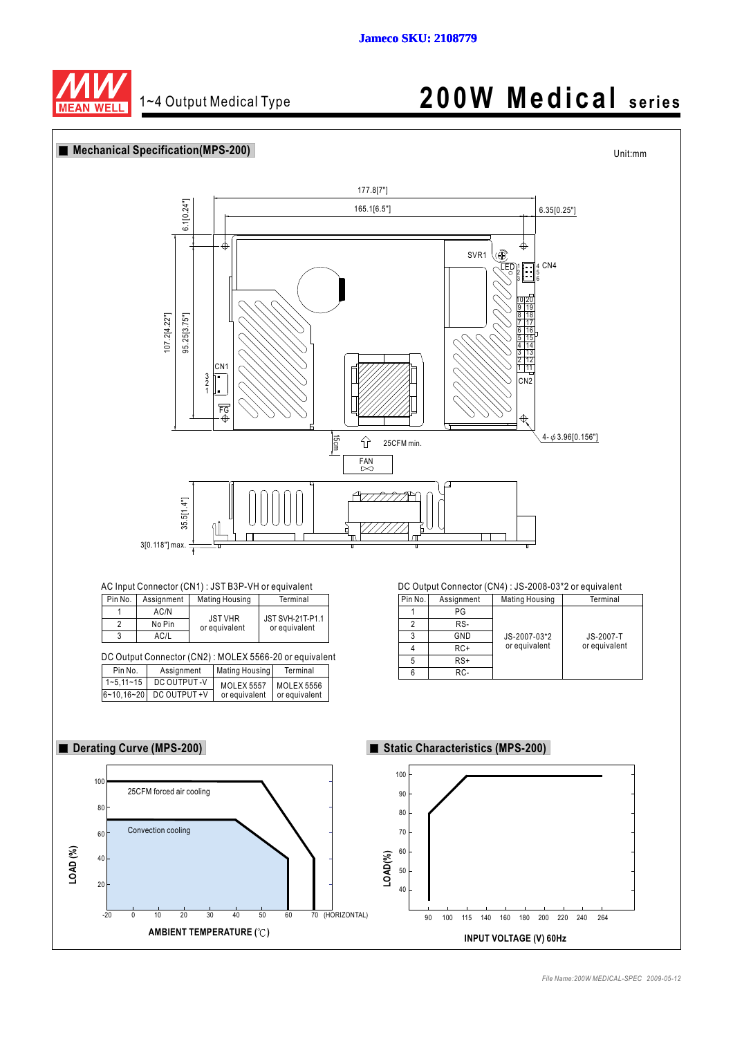

## 1~4 Output Medical Type **200W Medical series**

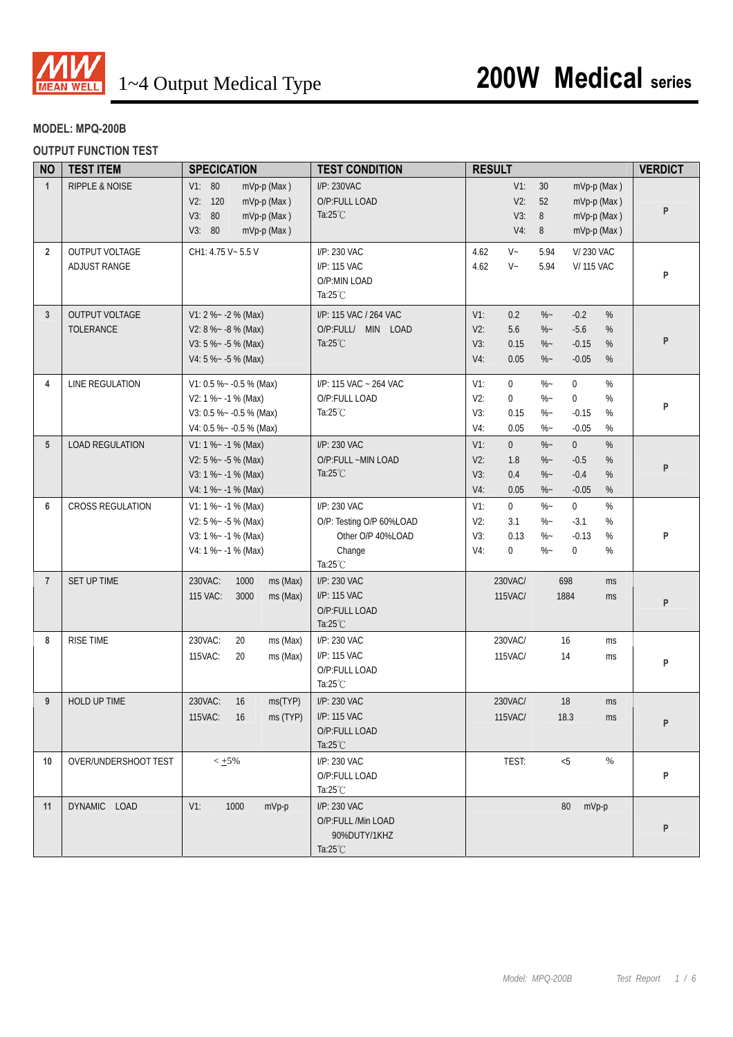

### **MODEL: MPQ-200B**

#### **OUTPUT FUNCTION TEST**

| <b>NO</b>      | <b>TEST ITEM</b>                   | <b>SPECICATION</b>                                                                                      | <b>TEST CONDITION</b>                                                                         | <b>RESULT</b>                                                         |                                                                                                                   | <b>VERDICT</b> |
|----------------|------------------------------------|---------------------------------------------------------------------------------------------------------|-----------------------------------------------------------------------------------------------|-----------------------------------------------------------------------|-------------------------------------------------------------------------------------------------------------------|----------------|
| $\mathbf{1}$   | <b>RIPPLE &amp; NOISE</b>          | V1: 80<br>mVp-p (Max)<br>V2: 120<br>mVp-p (Max)<br>V3: 80<br>mVp-p (Max)<br>V3: 80<br>mVp-p (Max)       | I/P: 230VAC<br>O/P:FULL LOAD<br>Ta: $25^{\circ}$ C                                            | $V1$ :<br>$V2$ :<br>V3:<br>$V4$ :                                     | 30<br>mVp-p (Max)<br>52<br>mVp-p (Max)<br>8<br>mVp-p (Max)<br>8<br>mVp-p (Max)                                    | P              |
| $\overline{2}$ | OUTPUT VOLTAGE<br>ADJUST RANGE     | CH1: 4.75 V ~ 5.5 V                                                                                     | I/P: 230 VAC<br>I/P: 115 VAC<br>O/P:MIN LOAD<br>Ta: $25^{\circ}$ C                            | $V -$<br>4.62<br>4.62<br>$V -$                                        | 5.94<br><b>V/230 VAC</b><br><b>V/115 VAC</b><br>5.94                                                              | P              |
| $\mathbf{3}$   | OUTPUT VOLTAGE<br><b>TOLERANCE</b> | $V1: 2 % -2 % (Max)$<br>V2: $8\% - 8\%$ (Max)<br>V3: 5 % $\sim$ -5 % (Max)<br>V4: 5 % ~ - 5 % (Max)     | I/P: 115 VAC / 264 VAC<br>O/P:FULL/ MIN LOAD<br>Ta: $25^{\circ}$ C                            | $V1$ :<br>0.2<br>5.6<br>V2:<br>V3:<br>0.15<br>$V4$ :<br>0.05          | $\%$<br>$\%$ ~<br>$-0.2$<br>$\%$ ~<br>$-5.6$<br>%<br>$\%$ ~<br>$-0.15$<br>%<br>$\%$ ~<br>$-0.05$<br>%             | P              |
| 4              | LINE REGULATION                    | V1: 0.5 % ~ - 0.5 % (Max)<br>$V2: 1 % -1 % (Max)$<br>V3: 0.5 %~ -0.5 % (Max)<br>V4: 0.5 %~ -0.5 % (Max) | I/P: 115 VAC ~ 264 VAC<br>O/P:FULL LOAD<br>Ta: $25^{\circ}$ C                                 | $\mathbf 0$<br>$V1$ :<br>$V2$ :<br>0<br>V3:<br>0.15<br>$V4$ :<br>0.05 | $\%$ ~<br>$\mathbf{0}$<br>$\%$<br>$\%$ ~<br>%<br>$\mathbf 0$<br>$\%$ ~<br>$-0.15$<br>%<br>$-0.05$<br>%<br>$\%$ ~  | P              |
| 5              | <b>LOAD REGULATION</b>             | $V1: 1 % -1 % (Max)$<br>V2: $5\% - 5\%$ (Max)<br>$V3: 1 % -1 % (Max)$<br>$V4: 1 % - 1 % (Max)$          | I/P: 230 VAC<br>O/P:FULL ~MIN LOAD<br>Ta: $25^{\circ}$ C                                      | $V1$ :<br>$\overline{0}$<br>V2:<br>1.8<br>V3:<br>0.4<br>V4:<br>0.05   | $\%$<br>$\%$ ~<br>$\overline{0}$<br>$-0.5$<br>%<br>$\%$ ~<br>$-0.4$<br>$\%$ ~<br>%<br>$-0.05$<br>%<br>$\%$ ~      | P              |
| 6              | <b>CROSS REGULATION</b>            | $V1: 1 % - 1 % (Max)$<br>V2: $5\% - 5\%$ (Max)<br>V3: 1 % ~ - 1 % (Max)<br>V4: 1 % - - 1 % (Max)        | I/P: 230 VAC<br>O/P: Testing O/P 60%LOAD<br>Other O/P 40%LOAD<br>Change<br>Ta: $25^{\circ}$ C | $\mathbf 0$<br>$V1$ :<br>V2:<br>3.1<br>V3:<br>0.13<br>0<br>V4:        | $\%$<br>$\%$ ~<br>$\overline{0}$<br>$-3.1$<br>%<br>$\%$ ~<br>$\%$ ~<br>$-0.13$<br>%<br>$\%$ ~<br>%<br>$\mathbf 0$ | P              |
| $\overline{7}$ | SET UP TIME                        | 230VAC:<br>1000<br>ms (Max)<br>115 VAC:<br>3000<br>ms (Max)                                             | I/P: 230 VAC<br>I/P: 115 VAC<br>O/P:FULL LOAD<br>Ta: $25^{\circ}$ C                           | 230VAC/<br>115VAC/                                                    | 698<br>ms<br>1884<br>ms                                                                                           | P              |
| 8              | <b>RISE TIME</b>                   | 230VAC:<br>20<br>ms (Max)<br>115VAC:<br>20<br>ms (Max)                                                  | I/P: 230 VAC<br>I/P: 115 VAC<br>O/P:FULL LOAD<br>Ta: $25^{\circ}$ C                           | 230VAC/<br>115VAC/                                                    | 16<br>ms<br>14<br>ms                                                                                              | P              |
| 9              | HOLD UP TIME                       | 230VAC:<br>16<br>ms(TYP)<br>115VAC: 16<br>ms (TYP)                                                      | I/P: 230 VAC<br>I/P: 115 VAC<br>O/P:FULL LOAD<br>Ta: $25^{\circ}$ C                           | 230VAC/<br>115VAC/                                                    | 18<br>ms<br>18.3<br>ms                                                                                            | P              |
| 10             | OVER/UNDERSHOOT TEST               | $< +5\%$                                                                                                | I/P: 230 VAC<br>O/P:FULL LOAD<br>Ta: $25^{\circ}$ C                                           | TEST:                                                                 | < 5<br>%                                                                                                          | P              |
| 11             | DYNAMIC LOAD                       | $V1$ :<br>1000<br>mVp-p                                                                                 | I/P: 230 VAC<br>O/P:FULL /Min LOAD<br>90%DUTY/1KHZ<br>Ta: $25^{\circ}$ C                      |                                                                       | 80<br>mVp-p                                                                                                       | P              |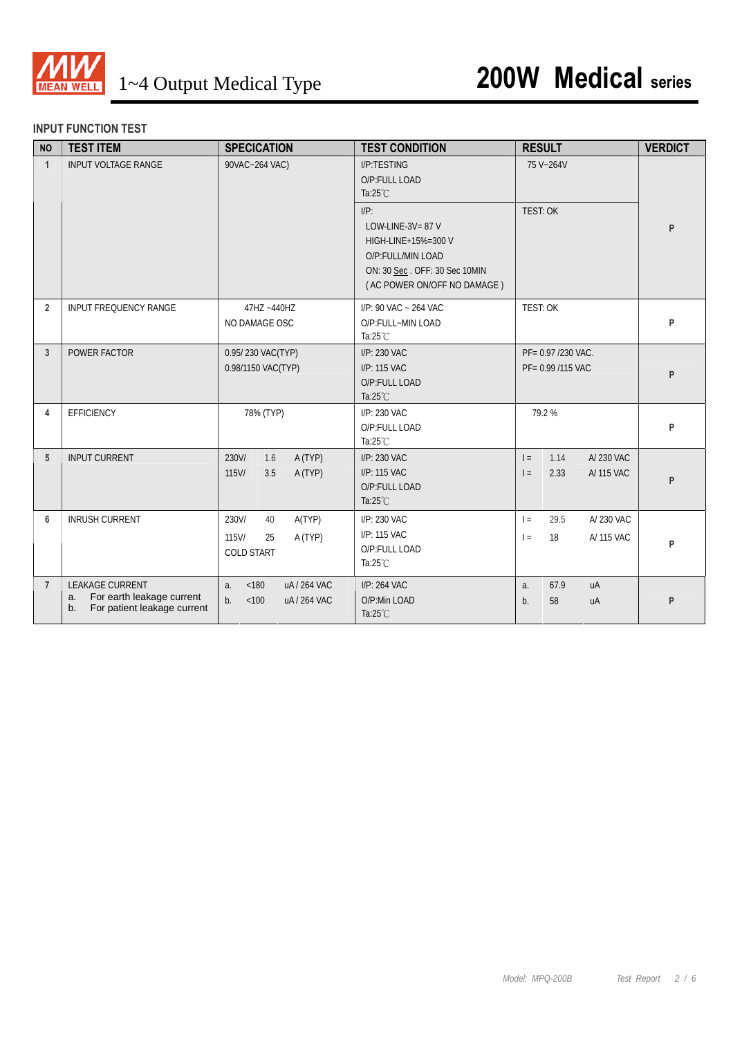

#### **INPUT FUNCTION TEST**

| <b>NO</b>      | <b>TEST ITEM</b>                                                                        | <b>SPECICATION</b>                                                      | <b>TEST CONDITION</b>                                                                                                                    | <b>RESULT</b>                                         | <b>VERDICT</b> |
|----------------|-----------------------------------------------------------------------------------------|-------------------------------------------------------------------------|------------------------------------------------------------------------------------------------------------------------------------------|-------------------------------------------------------|----------------|
| $\mathbf{1}$   | <b>INPUT VOLTAGE RANGE</b>                                                              | 90VAC~264 VAC)                                                          | <b>I/P:TESTING</b><br>O/P:FULL LOAD<br>Ta: $25^{\circ}$ C                                                                                | 75 V~264V                                             |                |
|                |                                                                                         |                                                                         | $I/P$ :<br>LOW-LINE-3V= 87 V<br>HIGH-LINE+15%=300 V<br>O/P:FULL/MIN LOAD<br>ON: 30 Sec. OFF: 30 Sec 10MIN<br>(AC POWER ON/OFF NO DAMAGE) | <b>TEST: OK</b>                                       | P              |
| $\overline{2}$ | <b>INPUT FREQUENCY RANGE</b>                                                            | 47HZ ~440HZ<br>NO DAMAGE OSC                                            | I/P: 90 VAC ~ 264 VAC<br>O/P:FULL~MIN LOAD<br>Ta: $25^{\circ}$ C                                                                         | <b>TEST: OK</b>                                       | P              |
| 3              | POWER FACTOR                                                                            | 0.95/230 VAC(TYP)<br>0.98/1150 VAC(TYP)                                 | I/P: 230 VAC<br>I/P: 115 VAC<br>O/P:FULL LOAD<br>Ta: $25^{\circ}$ C                                                                      | PF= 0.97 /230 VAC.<br>PF= 0.99 /115 VAC               | P              |
| 4              | <b>EFFICIENCY</b>                                                                       | 78% (TYP)                                                               | $I/P: 230$ VAC<br>O/P:FULL LOAD<br>Ta: $25^{\circ}$ C                                                                                    | 79.2%                                                 | P              |
| 5              | <b>INPUT CURRENT</b>                                                                    | A (TYP)<br>230V/<br>1.6<br>$115$ V/<br>A (TYP)<br>3.5                   | I/P: 230 VAC<br>I/P: 115 VAC<br>O/P:FULL LOAD<br>Ta: $25^{\circ}$ C                                                                      | A/230 VAC<br>1.14<br>$=$<br>2.33<br>A/ 115 VAC<br>$=$ | P              |
| 6              | <b>INRUSH CURRENT</b>                                                                   | A(TYP)<br>230V/<br>40<br>115V/<br>A (TYP)<br>25<br><b>COLD START</b>    | I/P: 230 VAC<br>I/P: 115 VAC<br>O/P:FULL LOAD<br>Ta: $25^{\circ}$ C                                                                      | 29.5<br>A/ 230 VAC<br>$=$<br>18<br>A/ 115 VAC<br>$=$  | P              |
| $\overline{7}$ | LEAKAGE CURRENT<br>For earth leakage current<br>a.<br>For patient leakage current<br>b. | uA / 264 VAC<br>a <sub>1</sub><br>< 180<br>uA / 264 VAC<br>$b$<br>< 100 | I/P: 264 VAC<br>O/P:Min LOAD<br>Ta: $25^{\circ}$ C                                                                                       | 67.9<br>uA<br>a.<br>58<br>$b$ .<br>uA                 | P              |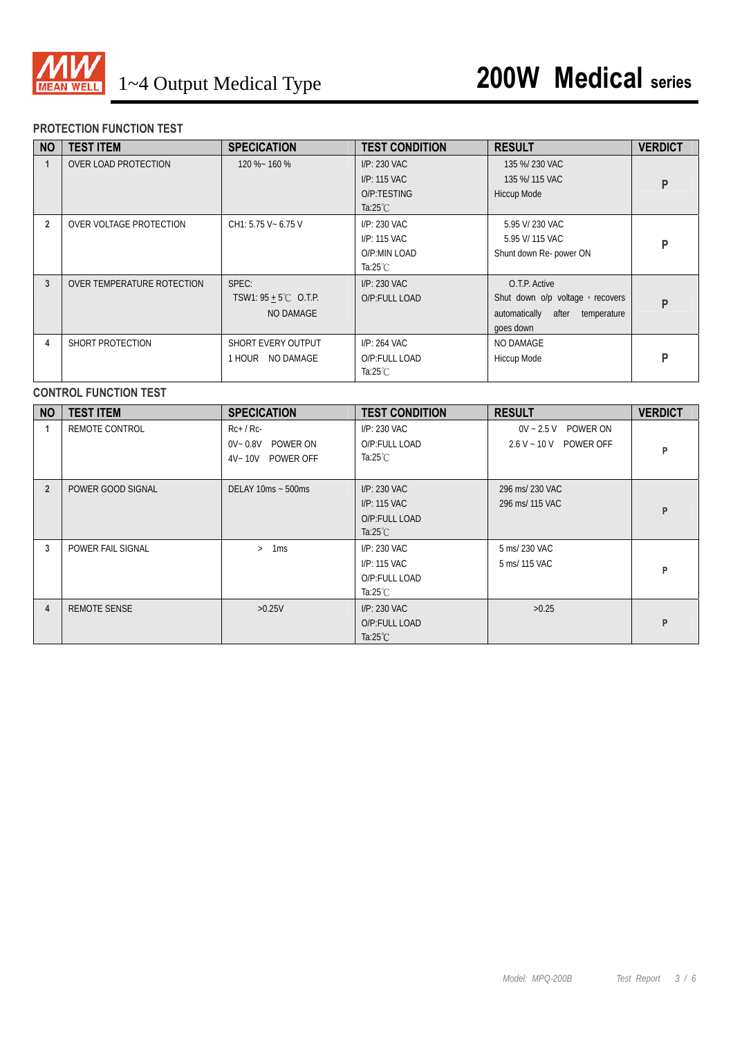

#### **PROTECTION FUNCTION TEST**

| <b>NO</b>      | <b>TEST ITEM</b>           | <b>SPECICATION</b>                                    | <b>TEST CONDITION</b>                                             | <b>RESULT</b>                                                                                          | <b>VERDICT</b> |
|----------------|----------------------------|-------------------------------------------------------|-------------------------------------------------------------------|--------------------------------------------------------------------------------------------------------|----------------|
|                | OVER LOAD PROTECTION       | 120 %~ 160 %                                          | I/P: 230 VAC<br>I/P: 115 VAC<br>O/P:TESTING<br>Ta: $25^{\circ}$ C | 135 %/230 VAC<br>135 %/ 115 VAC<br>Hiccup Mode                                                         |                |
| $\overline{2}$ | OVER VOLTAGE PROTECTION    | CH1: 5.75 V ~ 6.75 V                                  | $I/P: 230$ VAC<br>I/P: 115 VAC<br>O/P:MIN LOAD<br>Ta:25 $°C$      | 5.95 V/ 230 VAC<br>5.95 V/ 115 VAC<br>Shunt down Re- power ON                                          | P              |
| 3              | OVER TEMPERATURE ROTECTION | SPEC:<br>TSW1: $95 + 5^{\circ}$ C O.T.P.<br>NO DAMAGE | I/P: 230 VAC<br>O/P:FULL LOAD                                     | O.T.P. Active<br>Shut down o/p voltage, recovers<br>automatically<br>after<br>temperature<br>goes down | P              |
| 4              | SHORT PROTECTION           | SHORT EVERY OUTPUT<br>1 HOUR NO DAMAGE                | $I/P: 264$ VAC<br>O/P:FULL LOAD<br>Ta: $25^{\circ}$ C             | NO DAMAGE<br>Hiccup Mode                                                                               | D              |

#### **CONTROL FUNCTION TEST**

| <b>NO</b>      | <b>TEST ITEM</b>    | <b>SPECICATION</b>                                               | <b>TEST CONDITION</b>                                                 | <b>RESULT</b>                                          | <b>VERDICT</b> |
|----------------|---------------------|------------------------------------------------------------------|-----------------------------------------------------------------------|--------------------------------------------------------|----------------|
|                | REMOTE CONTROL      | $Rc+$ / $Rc-$<br>$0V - 0.8V$<br>POWER ON<br>POWER OFF<br>4V~ 10V | $I/P: 230$ VAC<br>O/P:FULL LOAD<br>Ta:25 $°C$                         | $0V - 2.5V$<br>POWER ON<br>$2.6 V - 10 V$<br>POWER OFF | P              |
| $\overline{2}$ | POWER GOOD SIGNAL   | DELAY 10ms ~ 500ms                                               | I/P: 230 VAC<br>$I/P: 115$ VAC<br>O/P:FULL LOAD<br>Ta: $25^{\circ}$ C | 296 ms/ 230 VAC<br>296 ms/ 115 VAC                     | P              |
| 3              | POWER FAIL SIGNAL   | 1 <sub>ms</sub><br>$\geq$                                        | I/P: 230 VAC<br>I/P: 115 VAC<br>O/P:FULL LOAD<br>Ta: $25^{\circ}$ C   | 5 ms/ 230 VAC<br>5 ms/ 115 VAC                         | P              |
| 4              | <b>REMOTE SENSE</b> | >0.25V                                                           | $I/P: 230$ VAC<br>O/P:FULL LOAD<br>Ta: $25^{\circ}$ C                 | >0.25                                                  | P              |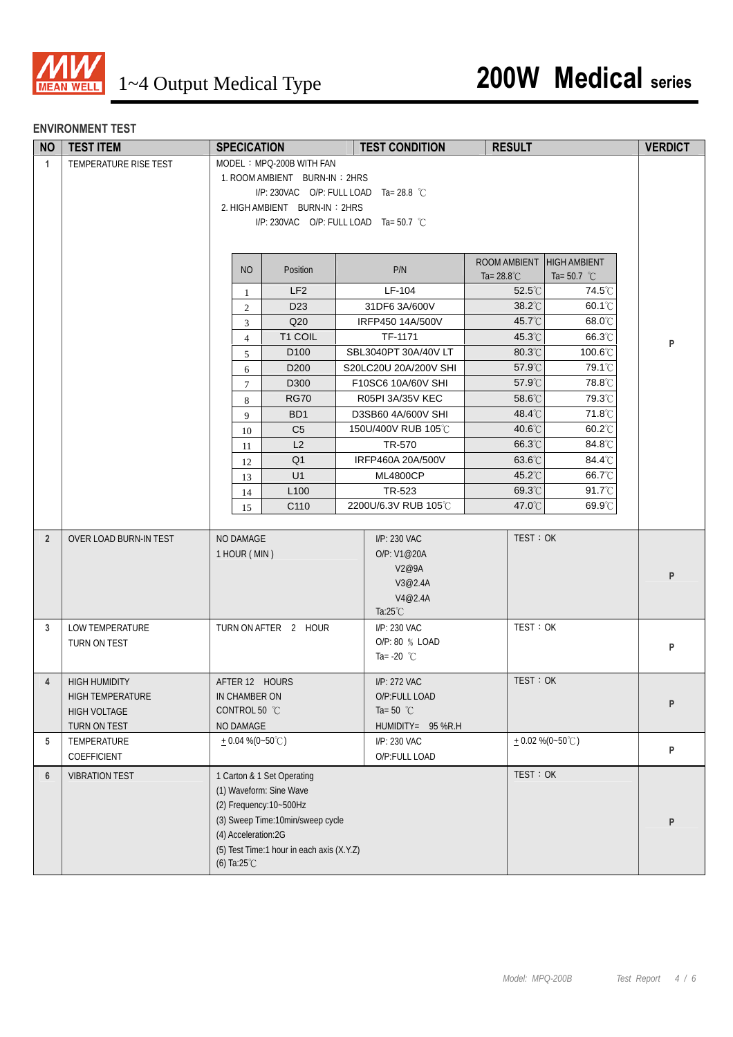

#### **ENVIRONMENT TEST**

| <b>NO</b>      | <b>TEST ITEM</b>       | <b>SPECICATION</b>                        | <b>TEST CONDITION</b>                  | <b>RESULT</b>             |                       | <b>VERDICT</b> |
|----------------|------------------------|-------------------------------------------|----------------------------------------|---------------------------|-----------------------|----------------|
| $\mathbf{1}$   | TEMPERATURE RISE TEST  | MODEL: MPQ-200B WITH FAN                  |                                        |                           |                       |                |
|                |                        | 1. ROOM AMBIENT BURN-IN: 2HRS             |                                        |                           |                       |                |
|                |                        |                                           | I/P: 230VAC O/P: FULL LOAD Ta= 28.8 °C |                           |                       |                |
|                |                        | 2. HIGH AMBIENT BURN-IN: 2HRS             |                                        |                           |                       |                |
|                |                        |                                           | I/P: 230VAC O/P: FULL LOAD Ta= 50.7 °C |                           |                       |                |
|                |                        |                                           |                                        |                           |                       |                |
|                |                        |                                           |                                        | ROOM AMBIENT HIGH AMBIENT |                       |                |
|                |                        | <b>NO</b><br>Position                     | P/N                                    | Ta= $28.8^{\circ}$ C      | Ta= 50.7 $^{\circ}$ C |                |
|                |                        | LF <sub>2</sub><br>$\mathbf{1}$           | LF-104                                 | $52.5^{\circ}$ C          | 74.5℃                 |                |
|                |                        | D <sub>23</sub><br>2                      | 31DF6 3A/600V                          | 38.2°C                    | 60.1°C                |                |
|                |                        | Q20<br>3                                  | IRFP450 14A/500V                       | 45.7°C                    | 68.0°C                |                |
|                |                        | T1 COIL<br>$\overline{4}$                 | TF-1171                                | 45.3°C                    | 66.3°C                |                |
|                |                        | D <sub>100</sub><br>5                     | SBL3040PT 30A/40V LT                   | 80.3°C                    | 100.6°C               | P              |
|                |                        | D <sub>200</sub><br>6                     | S20LC20U 20A/200V SHI                  | 57.9°C                    | 79.1°C                |                |
|                |                        | D300<br>$\tau$                            | F10SC6 10A/60V SHI                     | 57.9°C                    | 78.8°C                |                |
|                |                        | <b>RG70</b><br>8                          | R05PI 3A/35V KEC                       | 58.6°C                    | 79.3°C                |                |
|                |                        | BD <sub>1</sub><br>9                      | D3SB60 4A/600V SHI                     | 48.4°C                    | 71.8°C                |                |
|                |                        | C <sub>5</sub><br>10                      | 150U/400V RUB 105℃                     | $40.6^{\circ}$ C          | $60.2^{\circ}$ C      |                |
|                |                        | L2<br>11                                  | TR-570                                 | 66.3°C                    | 84.8°C                |                |
|                |                        | Q <sub>1</sub><br>12                      | IRFP460A 20A/500V                      | 63.6°C                    | 84.4°C                |                |
|                |                        | U1<br>13                                  | <b>ML4800CP</b>                        | 45.2°C                    | 66.7°C                |                |
|                |                        | L <sub>100</sub><br>14                    | TR-523                                 | 69.3°C                    | 91.7°C                |                |
|                |                        | C110<br>15                                | 2200U/6.3V RUB 105°C                   | 47.0°C                    | 69.9°C                |                |
|                |                        |                                           |                                        |                           |                       |                |
| $\overline{2}$ | OVER LOAD BURN-IN TEST | NO DAMAGE                                 | I/P: 230 VAC                           | TEST: OK                  |                       |                |
|                |                        | 1 HOUR (MIN)                              | O/P: V1@20A                            |                           |                       |                |
|                |                        |                                           | V2@9A                                  |                           |                       | P              |
|                |                        |                                           | V3@2.4A                                |                           |                       |                |
|                |                        |                                           | V4@2.4A                                |                           |                       |                |
|                |                        |                                           | Ta: $25^{\circ}$ C                     |                           |                       |                |
| 3              | LOW TEMPERATURE        | TURN ON AFTER 2 HOUR                      | I/P: 230 VAC                           | TEST: OK                  |                       |                |
|                | TURN ON TEST           |                                           | O/P: 80 % LOAD<br>Ta= -20 $^{\circ}$ C |                           |                       | P              |
|                |                        |                                           |                                        |                           |                       |                |
| 4              | <b>HIGH HUMIDITY</b>   | AFTER 12 HOURS                            | I/P: 272 VAC                           | TEST: OK                  |                       |                |
|                | HIGH TEMPERATURE       | IN CHAMBER ON                             | O/P:FULL LOAD                          |                           |                       | P              |
|                | <b>HIGH VOLTAGE</b>    | CONTROL 50 °C                             | Ta=50 $^{\circ}$ C                     |                           |                       |                |
|                | TURN ON TEST           | NO DAMAGE                                 | HUMIDITY= 95 %R.H                      |                           |                       |                |
| 5              | TEMPERATURE            | $+0.04\%$ (0~50°C)                        | I/P: 230 VAC                           | $+0.02\% (0-50^{\circ}C)$ |                       | P              |
|                | COEFFICIENT            |                                           | O/P:FULL LOAD                          |                           |                       |                |
| $6\phantom{1}$ | <b>VIBRATION TEST</b>  | 1 Carton & 1 Set Operating                |                                        | TEST: OK                  |                       |                |
|                |                        | (1) Waveform: Sine Wave                   |                                        |                           |                       |                |
|                |                        | (2) Frequency: 10~500Hz                   |                                        |                           |                       |                |
|                |                        | (3) Sweep Time: 10min/sweep cycle         |                                        |                           |                       | P              |
|                |                        | (4) Acceleration:2G                       |                                        |                           |                       |                |
|                |                        | (5) Test Time:1 hour in each axis (X.Y.Z) |                                        |                           |                       |                |
|                |                        | (6) Ta:25 $°C$                            |                                        |                           |                       |                |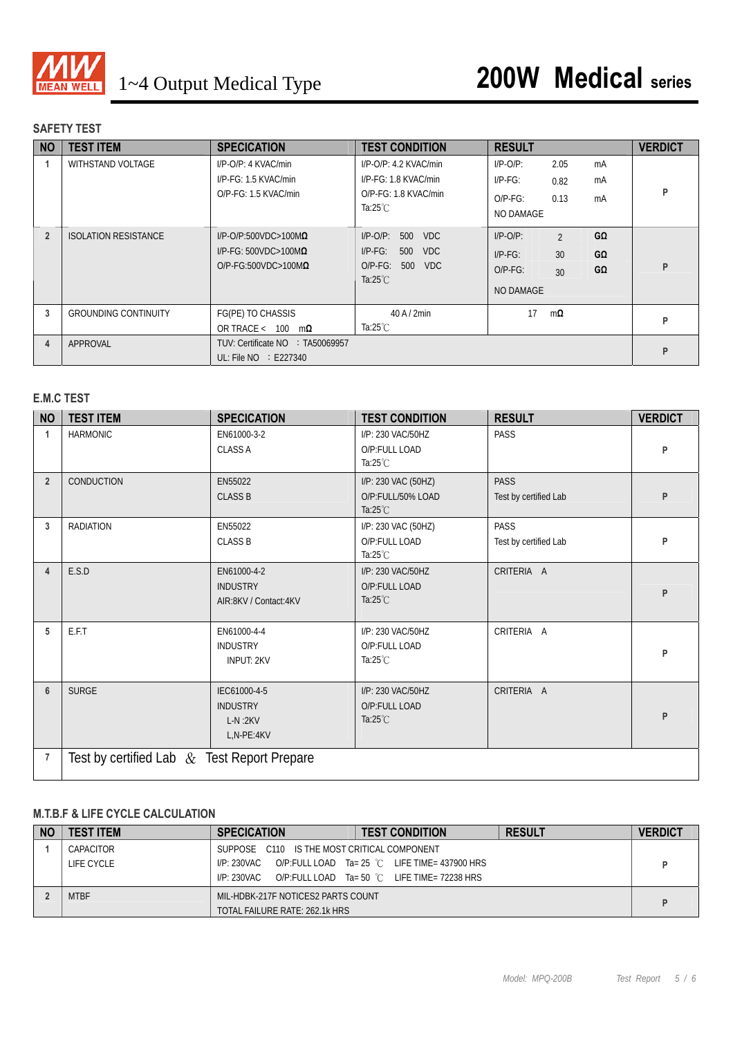

#### **SAFETY TEST**

| <b>NO</b>      | <b>TEST ITEM</b>            | <b>SPECICATION</b>                                                                               | <b>TEST CONDITION</b>                                                                                        | <b>RESULT</b>                                                                      |                       | <b>VERDICT</b> |
|----------------|-----------------------------|--------------------------------------------------------------------------------------------------|--------------------------------------------------------------------------------------------------------------|------------------------------------------------------------------------------------|-----------------------|----------------|
|                | WITHSTAND VOLTAGE           | I/P-O/P: 4 KVAC/min<br>I/P-FG: 1.5 KVAC/min<br>O/P-FG: 1.5 KVAC/min                              | $I/P$ -O/P: 4.2 KVAC/min<br>I/P-FG: 1.8 KVAC/min<br>$O/P$ - $FG: 1.8$ KVAC/min<br>Ta:25 $°C$                 | $I/P-O/P$ :<br>2.05<br>$I/P-FG$ :<br>0.82<br>0.13<br>$O/P-FG$ :<br>NO DAMAGE       | mA<br>mA<br>mA        | P              |
| $\overline{2}$ | <b>ISOLATION RESISTANCE</b> | $I/P$ -O/P:500VDC>100M $\Omega$<br>$I/P$ -FG: 500VDC>100M $\Omega$<br>$O/P-FG:500VDC>100M\Omega$ | $I/P$ -O/P:<br>500<br><b>VDC</b><br>$I/P-FG$ :<br>500<br><b>VDC</b><br>O/P-FG: 500 VDC<br>Ta: $25^{\circ}$ C | $I/P-O/P$ :<br>$\mathfrak{D}$<br>30<br>$I/P-FG$ :<br>$O/P-FG$ :<br>30<br>NO DAMAGE | GΩ<br>GΩ<br>$G\Omega$ | P              |
| 3              | <b>GROUNDING CONTINUITY</b> | FG(PE) TO CHASSIS<br>OR TRACE < $100 \text{ m}\Omega$                                            | 40 A / 2min<br>Ta:25 $°C$                                                                                    | 17<br>$m\Omega$                                                                    |                       | P              |
| 4              | APPROVAL                    | TUV: Certificate NO : TA50069957<br>UL: File $NO \div E227340$                                   |                                                                                                              |                                                                                    |                       | P              |

#### **E.M.C TEST**

| <b>NO</b>      | <b>TEST ITEM</b>                               | <b>SPECICATION</b>                                         | <b>TEST CONDITION</b>                                          | <b>RESULT</b>                        | <b>VERDICT</b> |
|----------------|------------------------------------------------|------------------------------------------------------------|----------------------------------------------------------------|--------------------------------------|----------------|
| $\mathbf{1}$   | <b>HARMONIC</b>                                | EN61000-3-2<br><b>CLASS A</b>                              | I/P: 230 VAC/50HZ<br>O/P:FULL LOAD<br>Ta: $25^{\circ}$ C       | PASS                                 | P              |
| $\overline{2}$ | <b>CONDUCTION</b>                              | EN55022<br><b>CLASS B</b>                                  | I/P: 230 VAC (50HZ)<br>O/P:FULL/50% LOAD<br>Ta: $25^{\circ}$ C | <b>PASS</b><br>Test by certified Lab | P              |
| 3              | <b>RADIATION</b>                               | EN55022<br><b>CLASS B</b>                                  | I/P: 230 VAC (50HZ)<br>O/P:FULL LOAD<br>Ta: $25^{\circ}$ C     | PASS<br>Test by certified Lab        | P              |
| 4              | E.S.D                                          | EN61000-4-2<br><b>INDUSTRY</b><br>AIR:8KV / Contact:4KV    | I/P: 230 VAC/50HZ<br>O/P:FULL LOAD<br>Ta: $25^{\circ}$ C       | CRITERIA A                           | P              |
| 5              | E.F.T                                          | EN61000-4-4<br><b>INDUSTRY</b><br><b>INPUT: 2KV</b>        | I/P: 230 VAC/50HZ<br>O/P:FULL LOAD<br>Ta: $25^{\circ}$ C       | CRITERIA A                           | P              |
| $6\phantom{1}$ | <b>SURGE</b>                                   | IEC61000-4-5<br><b>INDUSTRY</b><br>$L-N:2KV$<br>L,N-PE:4KV | I/P: 230 VAC/50HZ<br>O/P:FULL LOAD<br>Ta: $25^{\circ}$ C       | CRITERIA A                           | P              |
| 7              | Test by certified Lab $\&$ Test Report Prepare |                                                            |                                                                |                                      |                |

#### **M.T.B.F & LIFE CYCLE CALCULATION**

| <b>NO</b> | <b>TEST ITEM</b> | <b>SPECICATION</b>                          | <b>TEST CONDITION</b>                         | <b>RESULT</b> | <b>VERDICT</b> |
|-----------|------------------|---------------------------------------------|-----------------------------------------------|---------------|----------------|
|           | CAPACITOR        | SUPPOSE C110 IS THE MOST CRITICAL COMPONENT |                                               |               |                |
|           | LIFE CYCLE       | I/P: 230VAC                                 | O/P:FULL LOAD Ta= 25 °C LIFE TIME= 437900 HRS |               |                |
|           |                  | I/P: 230VAC                                 | O/P:FULL LOAD Ta= 50 °C LIFE TIME= 72238 HRS  |               |                |
|           | <b>MTBF</b>      | MIL-HDBK-217F NOTICES2 PARTS COUNT          |                                               |               |                |
|           |                  | TOTAL FAILURE RATE: 262.1k HRS              |                                               |               |                |